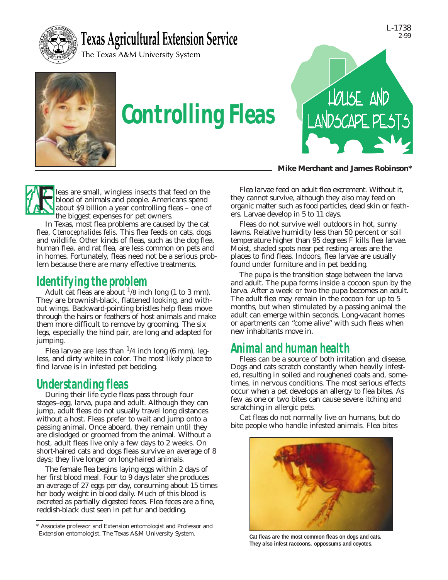

## **Texas Agricultural Extension Service**

The Texas A&M University System



# *Controlling Fleas*



**Mike Merchant and James Robinson\***

Jeas are small, wingless insects that feed on the blood of animals and people. Americans spend about \$9 billion a year controlling fleas – one of the biggest expenses for pet owners. blood of animals and people. Americans spend about \$9 billion a year controlling fleas – one of the biggest expenses for pet owners.

In Texas, most flea problems are caused by the cat flea, *Ctenocephalides felis.* This flea feeds on cats, dogs and wildlife. Other kinds of fleas, such as the dog flea, human flea, and rat flea, are less common on pets and in homes. Fortunately, fleas need not be a serious problem because there are many effective treatments.

## *Identifying the problem*

Adult cat fleas are about  $\frac{1}{8}$  inch long (1 to 3 mm). They are brownish-black, flattened looking, and without wings. Backward-pointing bristles help fleas move through the hairs or feathers of host animals and make them more difficult to remove by grooming. The six legs, especially the hind pair, are long and adapted for jumping.

Flea larvae are less than  $\frac{1}{4}$  inch long (6 mm), legless, and dirty white in color. The most likely place to find larvae is in infested pet bedding.

## *Understanding fleas*

During their life cycle fleas pass through four stages–egg, larva, pupa and adult. Although they can jump, adult fleas do not usually travel long distances without a host. Fleas prefer to wait and jump onto a passing animal. Once aboard, they remain until they are dislodged or groomed from the animal. Without a host, adult fleas live only a few days to 2 weeks. On short-haired cats and dogs fleas survive an average of 8 days; they live longer on long-haired animals.

The female flea begins laying eggs within 2 days of her first blood meal. Four to 9 days later she produces an average of 27 eggs per day, consuming about 15 times her body weight in blood daily. Much of this blood is excreted as partially digested feces. Flea feces are a fine, reddish-black dust seen in pet fur and bedding.

Flea larvae feed on adult flea excrement. Without it, they cannot survive, although they also may feed on organic matter such as food particles, dead skin or feathers. Larvae develop in 5 to 11 days.

Fleas do not survive well outdoors in hot, sunny lawns. Relative humidity less than 50 percent or soil temperature higher than 95 degrees F kills flea larvae. Moist, shaded spots near pet resting areas are the places to find fleas. Indoors, flea larvae are usually found under furniture and in pet bedding.

The pupa is the transition stage between the larva and adult. The pupa forms inside a cocoon spun by the larva. After a week or two the pupa becomes an adult. The adult flea may remain in the cocoon for up to 5 months, but when stimulated by a passing animal the adult can emerge within seconds. Long-vacant homes or apartments can "come alive" with such fleas when new inhabitants move in.

## *Animal and human health*

Fleas can be a source of both irritation and disease. Dogs and cats scratch constantly when heavily infested, resulting in soiled and roughened coats and, sometimes, in nervous conditions. The most serious effects occur when a pet develops an allergy to flea bites. As few as one or two bites can cause severe itching and scratching in allergic pets.

Cat fleas do not normally live on humans, but do bite people who handle infested animals. Flea bites



**They also infest raccoons, oppossums and coyotes.**

<sup>\*</sup> Associate professor and Extension entomologist and Professor and Extension entomologist, The Texas A&M University System.<br>Cat fleas are the most common fleas on dogs and cats.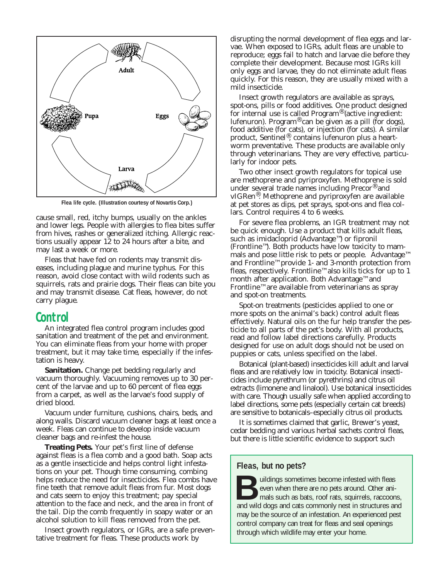

**Flea life cycle. (Illustration courtesy of Novartis Corp.)**

cause small, red, itchy bumps, usually on the ankles and lower legs. People with allergies to flea bites suffer from hives, rashes or generalized itching. Allergic reactions usually appear 12 to 24 hours after a bite, and may last a week or more.

Fleas that have fed on rodents may transmit diseases, including plague and murine typhus. For this reason, avoid close contact with wild rodents such as squirrels, rats and prairie dogs. Their fleas can bite you and may transmit disease. Cat fleas, however, do not carry plague.

#### *Control*

An integrated flea control program includes good sanitation and treatment of the pet and environment. You can eliminate fleas from your home with proper treatment, but it may take time, especially if the infestation is heavy.

**Sanitation.** Change pet bedding regularly and vacuum thoroughly. Vacuuming removes up to 30 percent of the larvae and up to 60 percent of flea eggs from a carpet, as well as the larvae's food supply of dried blood.

Vacuum under furniture, cushions, chairs, beds, and along walls. Discard vacuum cleaner bags at least once a week. Fleas can continue to develop inside vacuum cleaner bags and re-infest the house.

**Treating Pets.** Your pet's first line of defense against fleas is a flea comb and a good bath. Soap acts as a gentle insecticide and helps control light infestations on your pet. Though time consuming, combing helps reduce the need for insecticides. Flea combs have fine teeth that remove adult fleas from fur. Most dogs and cats seem to enjoy this treatment; pay special attention to the face and neck, and the area in front of the tail. Dip the comb frequently in soapy water or an alcohol solution to kill fleas removed from the pet.

Insect growth regulators, or IGRs, are a safe preventative treatment for fleas. These products work by

disrupting the normal development of flea eggs and larvae. When exposed to IGRs, adult fleas are unable to reproduce; eggs fail to hatch and larvae die before they complete their development. Because most IGRs kill only eggs and larvae, they do not eliminate adult fleas quickly. For this reason, they are usually mixed with a mild insecticide.

Insect growth regulators are available as sprays, spot-ons, pills or food additives. One product designed for internal use is called Program® (active ingredient: lufenuron). Program® can be given as a pill (for dogs), food additive (for cats), or injection (for cats). A similar product, Sentinel®, contains lufenuron plus a heartworm preventative. These products are available only through veterinarians. They are very effective, particularly for indoor pets.

Two other insect growth regulators for topical use are methoprene and pyriproxyfen. Methoprene is sold under several trade names including Precor® and vIGRen®. Methoprene and pyriproxyfen are available at pet stores as dips, pet sprays, spot-ons and flea collars. Control requires 4 to 6 weeks.

For severe flea problems, an IGR treatment may not be quick enough. Use a product that kills adult fleas, such as imidacloprid (Advantage™) or fipronil (Frontline™). Both products have low toxicity to mammals and pose little risk to pets or people. Advantage™ and Frontline™ provide 1- and 3-month protection from fleas, respectively. Frontline™ also kills ticks for up to 1 month after application. Both Advantage™ and Frontline™ are available from veterinarians as spray and spot-on treatments.

Spot-on treatments (pesticides applied to one or more spots on the animal's back) control adult fleas effectively. Natural oils on the fur help transfer the pesticide to all parts of the pet's body. With all products, read and follow label directions carefully. Products designed for use on adult dogs should not be used on puppies or cats, unless specified on the label.

Botanical (plant-based) insecticides kill adult and larval fleas and are relatively low in toxicity. Botanical insecticides include pyrethrum (or pyrethrins) and citrus oil extracts (limonene and linalool). Use botanical insecticides with care. Though usually safe when applied according to label directions, some pets (especially certain cat breeds) are sensitive to botanicals–especially citrus oil products.

It is sometimes claimed that garlic, Brewer's yeast, cedar bedding and various herbal sachets control fleas, but there is little scientific evidence to support such

#### **Fleas, but no pets?**

uildings sometimes become infested with fleas even when there are no pets around. Other animals such as bats, roof rats, squirrels, raccoons, and wild dogs and cats commonly nest in structures and may be the source of an infestation. An experienced pest control company can treat for fleas and seal openings through which wildlife may enter your home.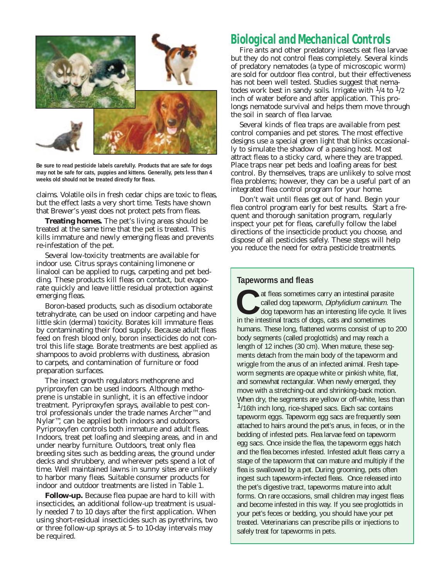

**Be sure to read pesticide labels carefully. Products that are safe for dogs may not be safe for cats, puppies and kittens. Generally, pets less than 4 weeks old should not be treated directly for fleas.**

claims. Volatile oils in fresh cedar chips are toxic to fleas, but the effect lasts a very short time. Tests have shown that Brewer's yeast does not protect pets from fleas.

**Treating homes.** The pet's living areas should be treated at the same time that the pet is treated. This kills immature and newly emerging fleas and prevents re-infestation of the pet.

Several low-toxicity treatments are available for indoor use. Citrus sprays containing limonene or linalool can be applied to rugs, carpeting and pet bedding. These products kill fleas on contact, but evaporate quickly and leave little residual protection against emerging fleas.

Boron-based products, such as disodium octaborate tetrahydrate, can be used on indoor carpeting and have little skin (dermal) toxicity. Borates kill immature fleas by contaminating their food supply. Because adult fleas feed on fresh blood only, boron insecticides do not control this life stage. Borate treatments are best applied as shampoos to avoid problems with dustiness, abrasion to carpets, and contamination of furniture or food preparation surfaces.

The insect growth regulators methoprene and pyriproxyfen can be used indoors. Although methoprene is unstable in sunlight, it is an effective indoor treatment. Pyriproxyfen sprays, available to pest control professionals under the trade names Archer™ and Nylar™, can be applied both indoors and outdoors. Pyriproxyfen controls both immature and adult fleas. Indoors, treat pet loafing and sleeping areas, and in and under nearby furniture. Outdoors, treat only flea breeding sites such as bedding areas, the ground under decks and shrubbery, and wherever pets spend a lot of time. Well maintained lawns in sunny sites are unlikely to harbor many fleas. Suitable consumer products for indoor and outdoor treatments are listed in Table 1.

**Follow-up.** Because flea pupae are hard to kill with insecticides, an additional follow-up treatment is usually needed 7 to 10 days after the first application. When using short-residual insecticides such as pyrethrins, two or three follow-up sprays at 5- to 10-day intervals may be required.

### *Biological and Mechanical Controls*

Fire ants and other predatory insects eat flea larvae but they do not control fleas completely. Several kinds of predatory nematodes (a type of microscopic worm) are sold for outdoor flea control, but their effectiveness has not been well tested. Studies suggest that nematodes work best in sandy soils. Irrigate with  $\frac{1}{4}$  to  $\frac{1}{2}$ inch of water before and after application. This prolongs nematode survival and helps them move through the soil in search of flea larvae.

Several kinds of flea traps are available from pest control companies and pet stores. The most effective designs use a special green light that blinks occasionally to simulate the shadow of a passing host. Most attract fleas to a sticky card, where they are trapped. Place traps near pet beds and loafing areas for best control. By themselves, traps are unlikely to solve most flea problems; however, they can be a useful part of an integrated flea control program for your home.

Don't wait until fleas get out of hand. Begin your flea control program early for best results. Start a frequent and thorough sanitation program, regularly inspect your pet for fleas, carefully follow the label directions of the insecticide product you choose, and dispose of all pesticides safely. These steps will help you reduce the need for extra pesticide treatments.

#### **Tapeworms and fleas**

at fleas sometimes carry an intestinal parasite called dog tapeworm, Diphylidium caninum. The dog tapeworm has an interesting life cycle. It lives in the intestinal tracts of dogs, cats and sometimes humans. These long, flattened worms consist of up to 200 body segments (called proglottids) and may reach a length of 12 inches (30 cm). When mature, these segments detach from the main body of the tapeworm and wriggle from the anus of an infected animal. Fresh tapeworm segments are opaque white or pinkish white, flat, and somewhat rectangular. When newly emerged, they move with a stretching-out and shrinking-back motion. When dry, the segments are yellow or off-white, less than <sup>1</sup>/16th inch long, rice-shaped sacs. Each sac contains tapeworm eggs. Tapeworm egg sacs are frequently seen attached to hairs around the pet's anus, in feces, or in the bedding of infested pets. Flea larvae feed on tapeworm egg sacs. Once inside the flea, the tapeworm eggs hatch and the flea becomes infested. Infested adult fleas carry a stage of the tapeworm that can mature and multiply if the flea is swallowed by a pet. During grooming, pets often ingest such tapeworm-infected fleas. Once released into the pet's digestive tract, tapeworms mature into adult forms. On rare occasions, small children may ingest fleas and become infested in this way. If you see proglottids in your pet's feces or bedding, you should have your pet treated. Veterinarians can prescribe pills or injections to safely treat for tapeworms in pets.